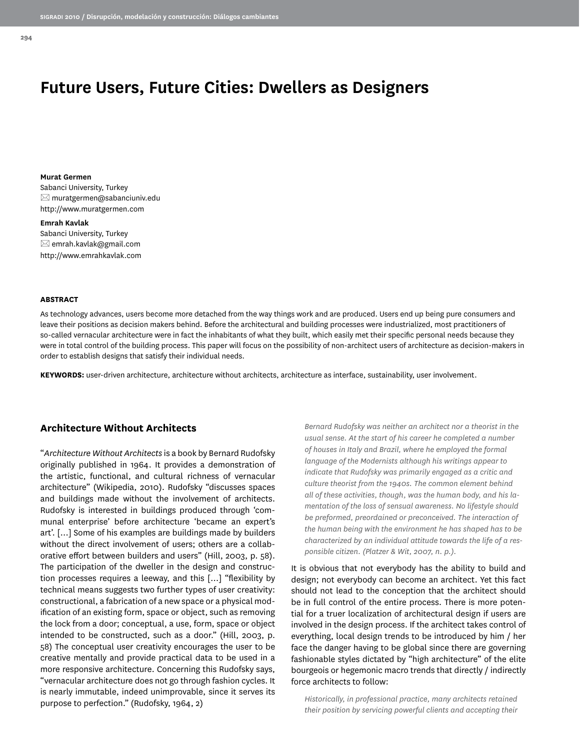# **Future Users, Future Cities: Dwellers as Designers**

**Murat Germen** Sabanci University, Turkey  $\boxtimes$  muratgermen@sabanciuniv.edu http://www.muratgermen.com

# **Emrah Kavlak**

Sabanci University, Turkey  $\boxtimes$  emrah.kavlak@gmail.com http://www.emrahkavlak.com

#### **ABSTRACT**

As technology advances, users become more detached from the way things work and are produced. Users end up being pure consumers and leave their positions as decision makers behind. Before the architectural and building processes were industrialized, most practitioners of so-called vernacular architecture were in fact the inhabitants of what they built, which easily met their specific personal needs because they were in total control of the building process. This paper will focus on the possibility of non-architect users of architecture as decision-makers in order to establish designs that satisfy their individual needs.

**KEYWORDS:** user-driven architecture, architecture without architects, architecture as interface, sustainability, user involvement.

### **Architecture Without Architects**

"*Architecture Without Architects* is a book by Bernard Rudofsky originally published in 1964. It provides a demonstration of the artistic, functional, and cultural richness of vernacular architecture" (Wikipedia, 2010). Rudofsky "discusses spaces and buildings made without the involvement of architects. Rudofsky is interested in buildings produced through 'communal enterprise' before architecture 'became an expert's art'. […] Some of his examples are buildings made by builders without the direct involvement of users; others are a collaborative effort between builders and users" (Hill, 2003, p. 58). The participation of the dweller in the design and construction processes requires a leeway, and this […] "flexibility by technical means suggests two further types of user creativity: constructional, a fabrication of a new space or a physical modification of an existing form, space or object, such as removing the lock from a door; conceptual, a use, form, space or object intended to be constructed, such as a door." (Hill, 2003, p. 58) The conceptual user creativity encourages the user to be creative mentally and provide practical data to be used in a more responsive architecture. Concerning this Rudofsky says, "vernacular architecture does not go through fashion cycles. It is nearly immutable, indeed unimprovable, since it serves its purpose to perfection." (Rudofsky, 1964, 2)

*Bernard Rudofsky was neither an architect nor a theorist in the usual sense. At the start of his career he completed a number of houses in Italy and Brazil, where he employed the formal language of the Modernists although his writings appear to indicate that Rudofsky was primarily engaged as a critic and culture theorist from the 1940s. The common element behind all of these activities, though, was the human body, and his lamentation of the loss of sensual awareness. No lifestyle should be preformed, preordained or preconceived. The interaction of the human being with the environment he has shaped has to be characterized by an individual attitude towards the life of a responsible citizen. (Platzer & Wit, 2007, n. p.).*

It is obvious that not everybody has the ability to build and design; not everybody can become an architect. Yet this fact should not lead to the conception that the architect should be in full control of the entire process. There is more potential for a truer localization of architectural design if users are involved in the design process. If the architect takes control of everything, local design trends to be introduced by him / her face the danger having to be global since there are governing fashionable styles dictated by "high architecture" of the elite bourgeois or hegemonic macro trends that directly / indirectly force architects to follow:

*Historically, in professional practice, many architects retained their position by servicing powerful clients and accepting their*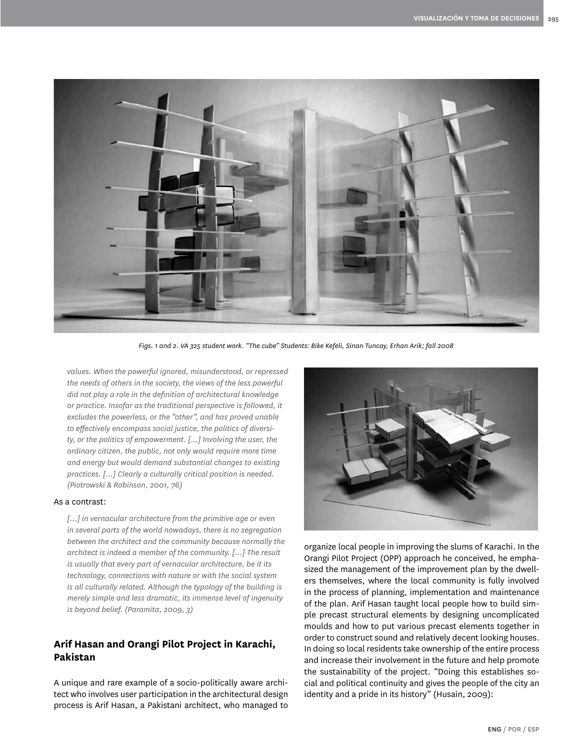

*Figs. 1 and 2. VA 325 student work. "The cube" Students: Bike Kefeli, Sinan Tuncay, Erhan Arik; fall 2008*

*values. When the powerful ignored, misunderstood, or repressed the needs of others in the society, the views of the less powerful did not play a role in the definition of architectural knowledge or practice. Insofar as the traditional perspective is followed, it excludes the powerless, or the "other", and has proved unable to effectively encompass social justice, the politics of diversity, or the politics of empowerment. […] Involving the user, the ordinary citizen, the public, not only would require more time and energy but would demand substantial changes to existing practices. […] Clearly a culturally critical position is needed. (Piotrowski & Robinson, 2001, 76)*

#### As a contrast:

*[…] in vernacular architecture from the primitive age or even in several parts of the world nowadays, there is no segregation between the architect and the community because normally the architect is indeed a member of the community. […] The result is usually that every part of vernacular architecture, be it its technology, connections with nature or with the social system is all culturally related. Although the typology of the building is merely simple and less dramatic, its immense level of ingenuity is beyond belief. (Paramita, 2009, 3)*

# **Arif Hasan and Orangi Pilot Project in Karachi, Pakistan**

A unique and rare example of a socio-politically aware architect who involves user participation in the architectural design process is Arif Hasan, a Pakistani architect, who managed to



organize local people in improving the slums of Karachi. In the Orangi Pilot Project (OPP) approach he conceived, he emphasized the management of the improvement plan by the dwellers themselves, where the local community is fully involved in the process of planning, implementation and maintenance of the plan. Arif Hasan taught local people how to build simple precast structural elements by designing uncomplicated moulds and how to put various precast elements together in order to construct sound and relatively decent looking houses. In doing so local residents take ownership of the entire process and increase their involvement in the future and help promote the sustainability of the project. "Doing this establishes social and political continuity and gives the people of the city an identity and a pride in its history" (Husain, 2009):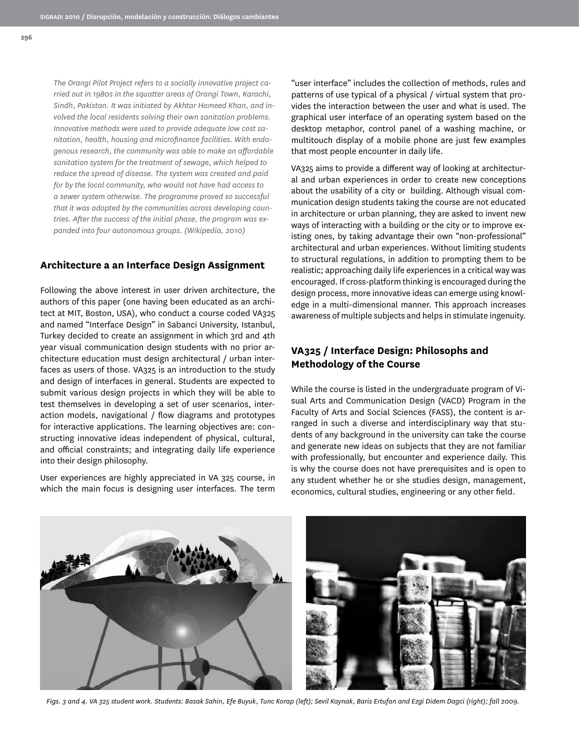*The Orangi Pilot Project refers to a socially innovative project carried out in 1980s in the squatter areas of Orangi Town, Karachi, Sindh, Pakistan. It was initiated by Akhtar Hameed Khan, and involved the local residents solving their own sanitation problems. Innovative methods were used to provide adequate low cost sanitation, health, housing and microfinance facilities. With endogenous research, the community was able to make an affordable sanitation system for the treatment of sewage, which helped to reduce the spread of disease. The system was created and paid for by the local community, who would not have had access to a sewer system otherwise. The programme proved so successful that it was adopted by the communities across developing countries. After the success of the initial phase, the program was expanded into four autonomous groups. (Wikipedia, 2010)*

## **Architecture a an Interface Design Assignment**

Following the above interest in user driven architecture, the authors of this paper (one having been educated as an architect at MIT, Boston, USA), who conduct a course coded VA325 and named "Interface Design" in Sabanci University, Istanbul, Turkey decided to create an assignment in which 3rd and 4th year visual communication design students with no prior architecture education must design architectural / urban interfaces as users of those. VA325 is an introduction to the study and design of interfaces in general. Students are expected to submit various design projects in which they will be able to test themselves in developing a set of user scenarios, interaction models, navigational / flow diagrams and prototypes for interactive applications. The learning objectives are: constructing innovative ideas independent of physical, cultural, and official constraints; and integrating daily life experience into their design philosophy.

User experiences are highly appreciated in VA 325 course, in which the main focus is designing user interfaces. The term

"user interface" includes the collection of methods, rules and patterns of use typical of a physical / virtual system that provides the interaction between the user and what is used. The graphical user interface of an operating system based on the desktop metaphor, control panel of a washing machine, or multitouch display of a mobile phone are just few examples that most people encounter in daily life.

VA325 aims to provide a different way of looking at architectural and urban experiences in order to create new conceptions about the usability of a city or building. Although visual communication design students taking the course are not educated in architecture or urban planning, they are asked to invent new ways of interacting with a building or the city or to improve existing ones, by taking advantage their own "non-professional" architectural and urban experiences. Without limiting students to structural regulations, in addition to prompting them to be realistic; approaching daily life experiences in a critical way was encouraged. If cross-platform thinking is encouraged during the design process, more innovative ideas can emerge using knowledge in a multi-dimensional manner. This approach increases awareness of multiple subjects and helps in stimulate ingenuity.

# **VA325 / Interface Design: Philosophs and Methodology of the Course**

While the course is listed in the undergraduate program of Visual Arts and Communication Design (VACD) Program in the Faculty of Arts and Social Sciences (FASS), the content is arranged in such a diverse and interdisciplinary way that students of any background in the university can take the course and generate new ideas on subjects that they are not familiar with professionally, but encounter and experience daily. This is why the course does not have prerequisites and is open to any student whether he or she studies design, management, economics, cultural studies, engineering or any other field.



*Figs. 3 and 4. VA 325 student work. Students: Basak Sahin, Efe Buyuk, Tunc Korap (left); Sevil Kaynak, Baris Ertufan and Ezgi Didem Dagci (right); fall 2009.*